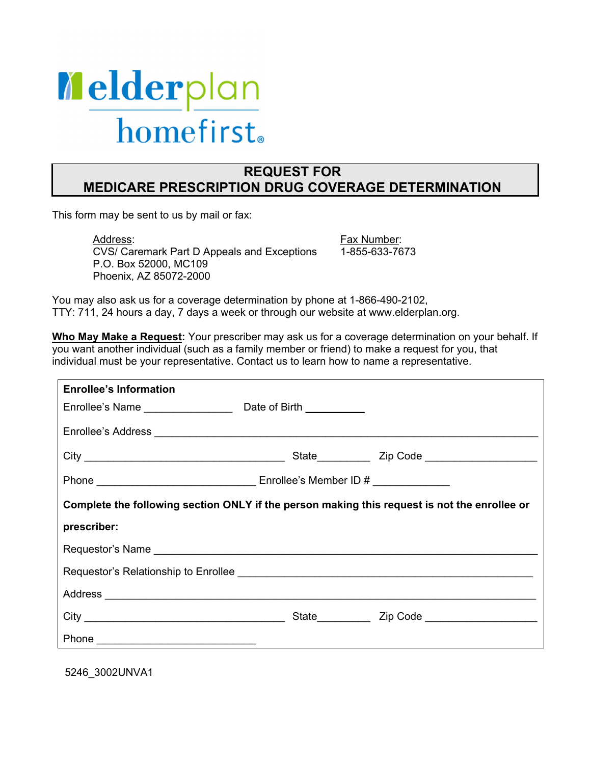

## **REQUEST FOR MEDICARE PRESCRIPTION DRUG COVERAGE DETERMINATION**

This form may be sent to us by mail or fax:

Address: CVS/ Caremark Part D Appeals and Exceptions P.O. Box 52000, MC109 Phoenix, AZ 85072-2000

Fax Number: 1-855-633-7673 You may also ask us for a coverage determination by phone at 1-866-490-2102, TTY: 711, 24 hours a day, 7 days a week or through our website at www.elderplan.org.

**Who May Make a Request:** Your prescriber may ask us for a coverage determination on your behalf. If you want another individual (such as a family member or friend) to make a request for you, that individual must be your representative. Contact us to learn how to name a representative.

| <b>Enrollee's Information</b>                                                                |  |  |  |
|----------------------------------------------------------------------------------------------|--|--|--|
|                                                                                              |  |  |  |
|                                                                                              |  |  |  |
|                                                                                              |  |  |  |
|                                                                                              |  |  |  |
| Complete the following section ONLY if the person making this request is not the enrollee or |  |  |  |
| prescriber:                                                                                  |  |  |  |
|                                                                                              |  |  |  |
|                                                                                              |  |  |  |
|                                                                                              |  |  |  |
|                                                                                              |  |  |  |
|                                                                                              |  |  |  |

5246\_3002UNVA1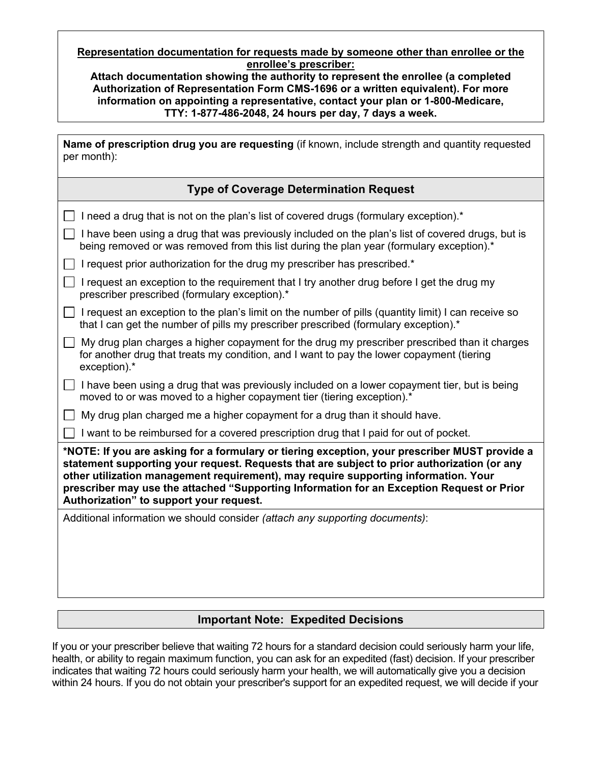#### **Representation documentation for requests made by someone other than enrollee or the enrollee's prescriber:**

**Attach documentation showing the authority to represent the enrollee (a completed Authorization of Representation Form CMS-1696 or a written equivalent). For more information on appointing a representative, contact your plan or 1-800-Medicare, TTY: 1-877-486-2048, 24 hours per day, 7 days a week.**

| Name of prescription drug you are requesting (if known, include strength and quantity requested<br>per month):                                                                                                                                                                                                                                                                                                              |  |  |  |
|-----------------------------------------------------------------------------------------------------------------------------------------------------------------------------------------------------------------------------------------------------------------------------------------------------------------------------------------------------------------------------------------------------------------------------|--|--|--|
| <b>Type of Coverage Determination Request</b>                                                                                                                                                                                                                                                                                                                                                                               |  |  |  |
| I need a drug that is not on the plan's list of covered drugs (formulary exception).*                                                                                                                                                                                                                                                                                                                                       |  |  |  |
| I have been using a drug that was previously included on the plan's list of covered drugs, but is<br>being removed or was removed from this list during the plan year (formulary exception).*                                                                                                                                                                                                                               |  |  |  |
| I request prior authorization for the drug my prescriber has prescribed.*                                                                                                                                                                                                                                                                                                                                                   |  |  |  |
| I request an exception to the requirement that I try another drug before I get the drug my<br>prescriber prescribed (formulary exception).*                                                                                                                                                                                                                                                                                 |  |  |  |
| I request an exception to the plan's limit on the number of pills (quantity limit) I can receive so<br>that I can get the number of pills my prescriber prescribed (formulary exception).*                                                                                                                                                                                                                                  |  |  |  |
| My drug plan charges a higher copayment for the drug my prescriber prescribed than it charges<br>for another drug that treats my condition, and I want to pay the lower copayment (tiering<br>exception).*                                                                                                                                                                                                                  |  |  |  |
| I have been using a drug that was previously included on a lower copayment tier, but is being<br>moved to or was moved to a higher copayment tier (tiering exception).*                                                                                                                                                                                                                                                     |  |  |  |
| My drug plan charged me a higher copayment for a drug than it should have.                                                                                                                                                                                                                                                                                                                                                  |  |  |  |
| I want to be reimbursed for a covered prescription drug that I paid for out of pocket.                                                                                                                                                                                                                                                                                                                                      |  |  |  |
| *NOTE: If you are asking for a formulary or tiering exception, your prescriber MUST provide a<br>statement supporting your request. Requests that are subject to prior authorization (or any<br>other utilization management requirement), may require supporting information. Your<br>prescriber may use the attached "Supporting Information for an Exception Request or Prior<br>Authorization" to support your request. |  |  |  |
| Additional information we should consider (attach any supporting documents):                                                                                                                                                                                                                                                                                                                                                |  |  |  |

# **Important Note: Expedited Decisions**

 If you or your prescriber believe that waiting 72 hours for a standard decision could seriously harm your life, health, or ability to regain maximum function, you can ask for an expedited (fast) decision. If your prescriber indicates that waiting 72 hours could seriously harm your health, we will automatically give you a decision within 24 hours. If you do not obtain your prescriber's support for an expedited request, we will decide if your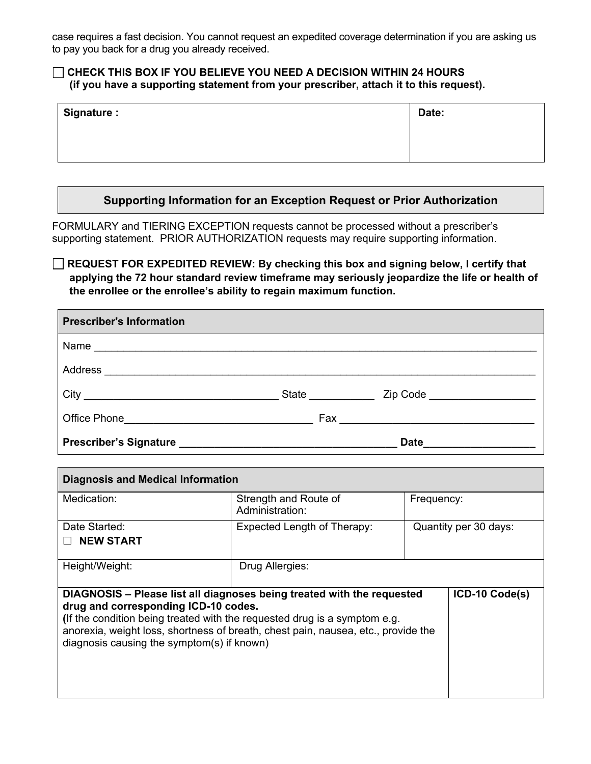case requires a fast decision. You cannot request an expedited coverage determination if you are asking us to pay you back for a drug you already received.

#### **(if you have a supporting statement from your prescriber, attach it to this request). CHECK THIS BOX IF YOU BELIEVE YOU NEED A DECISION WITHIN 24 HOURS**

| Signature : | Date: |
|-------------|-------|
|             |       |
|             |       |

#### **Supporting Information for an Exception Request or Prior Authorization**

FORMULARY and TIERING EXCEPTION requests cannot be processed without a prescriber's supporting statement. PRIOR AUTHORIZATION requests may require supporting information.

**REQUEST FOR EXPEDITED REVIEW: By checking this box and signing below, I certify that applying the 72 hour standard review timeframe may seriously jeopardize the life or health of the enrollee or the enrollee's ability to regain maximum function.** 

| <b>Prescriber's Information</b> |                    |                  |
|---------------------------------|--------------------|------------------|
|                                 |                    |                  |
|                                 |                    |                  |
|                                 | <b>State State</b> | Zip Code         |
|                                 |                    |                  |
|                                 |                    | Date <b>Date</b> |

| <b>Diagnosis and Medical Information</b>                                                                                                                                                                                                                                                                                       |                                                        |                       |                |
|--------------------------------------------------------------------------------------------------------------------------------------------------------------------------------------------------------------------------------------------------------------------------------------------------------------------------------|--------------------------------------------------------|-----------------------|----------------|
| Medication:                                                                                                                                                                                                                                                                                                                    | Strength and Route of<br>Frequency:<br>Administration: |                       |                |
| Date Started:<br><b>NEW START</b>                                                                                                                                                                                                                                                                                              | Expected Length of Therapy:                            | Quantity per 30 days: |                |
| Height/Weight:                                                                                                                                                                                                                                                                                                                 | Drug Allergies:                                        |                       |                |
| DIAGNOSIS - Please list all diagnoses being treated with the requested<br>drug and corresponding ICD-10 codes.<br>(If the condition being treated with the requested drug is a symptom e.g.<br>anorexia, weight loss, shortness of breath, chest pain, nausea, etc., provide the<br>diagnosis causing the symptom(s) if known) |                                                        |                       | ICD-10 Code(s) |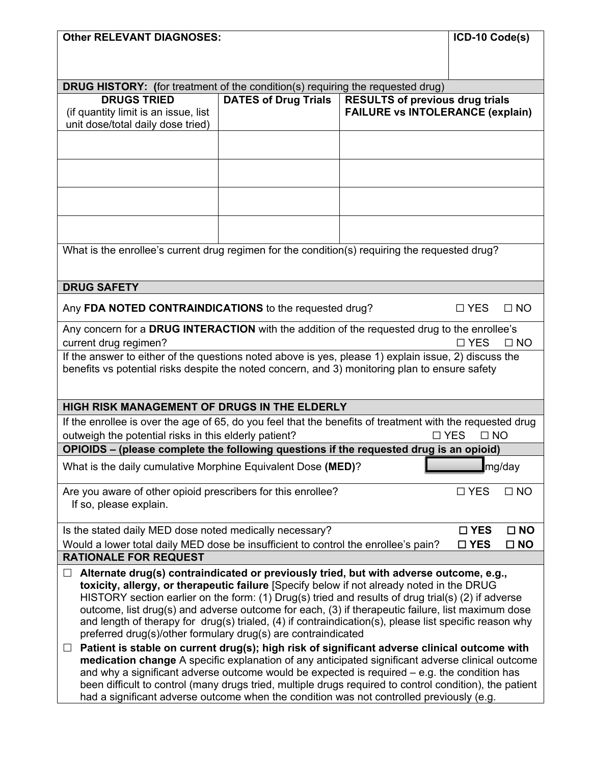| <b>Other RELEVANT DIAGNOSES:</b>                                                                                                                                        |                             |                                         | ICD-10 Code(s) |              |
|-------------------------------------------------------------------------------------------------------------------------------------------------------------------------|-----------------------------|-----------------------------------------|----------------|--------------|
|                                                                                                                                                                         |                             |                                         |                |              |
| <b>DRUG HISTORY:</b> (for treatment of the condition(s) requiring the requested drug)                                                                                   |                             |                                         |                |              |
| <b>DRUGS TRIED</b>                                                                                                                                                      | <b>DATES of Drug Trials</b> | <b>RESULTS of previous drug trials</b>  |                |              |
| (if quantity limit is an issue, list                                                                                                                                    |                             | <b>FAILURE vs INTOLERANCE (explain)</b> |                |              |
| unit dose/total daily dose tried)                                                                                                                                       |                             |                                         |                |              |
|                                                                                                                                                                         |                             |                                         |                |              |
|                                                                                                                                                                         |                             |                                         |                |              |
|                                                                                                                                                                         |                             |                                         |                |              |
|                                                                                                                                                                         |                             |                                         |                |              |
|                                                                                                                                                                         |                             |                                         |                |              |
|                                                                                                                                                                         |                             |                                         |                |              |
| What is the enrollee's current drug regimen for the condition(s) requiring the requested drug?                                                                          |                             |                                         |                |              |
|                                                                                                                                                                         |                             |                                         |                |              |
|                                                                                                                                                                         |                             |                                         |                |              |
| <b>DRUG SAFETY</b>                                                                                                                                                      |                             |                                         |                |              |
| Any FDA NOTED CONTRAINDICATIONS to the requested drug?                                                                                                                  |                             |                                         | $\Box$ YES     | $\Box$ NO    |
| Any concern for a DRUG INTERACTION with the addition of the requested drug to the enrollee's                                                                            |                             |                                         |                |              |
| current drug regimen?                                                                                                                                                   |                             |                                         | $\Box$ YES     | $\Box$ NO    |
| If the answer to either of the questions noted above is yes, please 1) explain issue, 2) discuss the                                                                    |                             |                                         |                |              |
| benefits vs potential risks despite the noted concern, and 3) monitoring plan to ensure safety                                                                          |                             |                                         |                |              |
|                                                                                                                                                                         |                             |                                         |                |              |
| HIGH RISK MANAGEMENT OF DRUGS IN THE ELDERLY                                                                                                                            |                             |                                         |                |              |
| If the enrollee is over the age of 65, do you feel that the benefits of treatment with the requested drug                                                               |                             |                                         |                |              |
| outweigh the potential risks in this elderly patient?<br>$\Box$ YES<br>$\Box$ NO                                                                                        |                             |                                         |                |              |
| OPIOIDS - (please complete the following questions if the requested drug is an opioid)                                                                                  |                             |                                         |                |              |
| What is the daily cumulative Morphine Equivalent Dose (MED)?                                                                                                            |                             |                                         |                | mg/day       |
| Are you aware of other opioid prescribers for this enrollee?                                                                                                            |                             |                                         | $\Box$ YES     | $\Box$ NO    |
| If so, please explain.                                                                                                                                                  |                             |                                         |                |              |
|                                                                                                                                                                         |                             |                                         |                |              |
| Is the stated daily MED dose noted medically necessary?                                                                                                                 |                             |                                         | $\square$ YES  | $\square$ NO |
| Would a lower total daily MED dose be insufficient to control the enrollee's pain?<br><b>RATIONALE FOR REQUEST</b>                                                      |                             |                                         | $\square$ YES  | $\square$ NO |
| Alternate drug(s) contraindicated or previously tried, but with adverse outcome, e.g.,                                                                                  |                             |                                         |                |              |
| toxicity, allergy, or therapeutic failure [Specify below if not already noted in the DRUG                                                                               |                             |                                         |                |              |
| HISTORY section earlier on the form: (1) Drug(s) tried and results of drug trial(s) (2) if adverse                                                                      |                             |                                         |                |              |
| outcome, list drug(s) and adverse outcome for each, (3) if therapeutic failure, list maximum dose                                                                       |                             |                                         |                |              |
| and length of therapy for drug(s) trialed, (4) if contraindication(s), please list specific reason why<br>preferred drug(s)/other formulary drug(s) are contraindicated |                             |                                         |                |              |
| Patient is stable on current drug(s); high risk of significant adverse clinical outcome with<br>$\Box$                                                                  |                             |                                         |                |              |
| medication change A specific explanation of any anticipated significant adverse clinical outcome                                                                        |                             |                                         |                |              |
| and why a significant adverse outcome would be expected is required $-$ e.g. the condition has                                                                          |                             |                                         |                |              |
| been difficult to control (many drugs tried, multiple drugs required to control condition), the patient                                                                 |                             |                                         |                |              |
| had a significant adverse outcome when the condition was not controlled previously (e.g.                                                                                |                             |                                         |                |              |